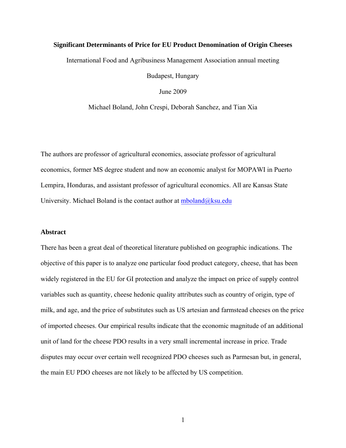# **Significant Determinants of Price for EU Product Denomination of Origin Cheeses**

International Food and Agribusiness Management Association annual meeting

Budapest, Hungary

June 2009

Michael Boland, John Crespi, Deborah Sanchez, and Tian Xia

The authors are professor of agricultural economics, associate professor of agricultural economics, former MS degree student and now an economic analyst for MOPAWI in Puerto Lempira, Honduras, and assistant professor of agricultural economics. All are Kansas State University. Michael Boland is the contact author at  $mboland@ksu.edu$ 

# **Abstract**

There has been a great deal of theoretical literature published on geographic indications. The objective of this paper is to analyze one particular food product category, cheese, that has been widely registered in the EU for GI protection and analyze the impact on price of supply control variables such as quantity, cheese hedonic quality attributes such as country of origin, type of milk, and age, and the price of substitutes such as US artesian and farmstead cheeses on the price of imported cheeses. Our empirical results indicate that the economic magnitude of an additional unit of land for the cheese PDO results in a very small incremental increase in price. Trade disputes may occur over certain well recognized PDO cheeses such as Parmesan but, in general, the main EU PDO cheeses are not likely to be affected by US competition.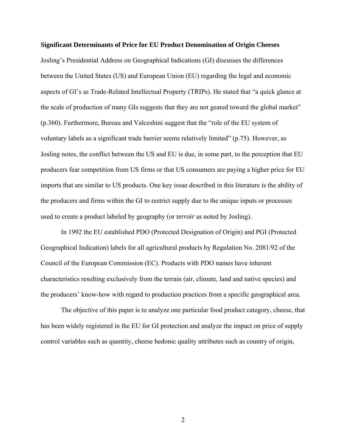#### **Significant Determinants of Price for EU Product Denomination of Origin Cheeses**

Josling's Presidential Address on Geographical Indications (GI) discusses the differences between the United States (US) and European Union (EU) regarding the legal and economic aspects of GI's as Trade-Related Intellectual Property (TRIPs). He stated that "a quick glance at the scale of production of many GIs suggests that they are not geared toward the global market" (p.360). Furthermore, Bureau and Valceshini suggest that the "role of the EU system of voluntary labels as a significant trade barrier seems relatively limited" (p.75). However, as Josling notes, the conflict between the US and EU is due, in some part, to the perception that EU producers fear competition from US firms or that US consumers are paying a higher price for EU imports that are similar to US products. One key issue described in this literature is the ability of the producers and firms within the GI to restrict supply due to the unique inputs or processes used to create a product labeled by geography (or *terroir* as noted by Josling).

In 1992 the EU established PDO (Protected Designation of Origin) and PGI (Protected Geographical Indication) labels for all agricultural products by Regulation No. 2081/92 of the Council of the European Commission (EC). Products with PDO names have inherent characteristics resulting exclusively from the terrain (air, climate, land and native species) and the producers' know-how with regard to production practices from a specific geographical area.

The objective of this paper is to analyze one particular food product category, cheese, that has been widely registered in the EU for GI protection and analyze the impact on price of supply control variables such as quantity, cheese hedonic quality attributes such as country of origin,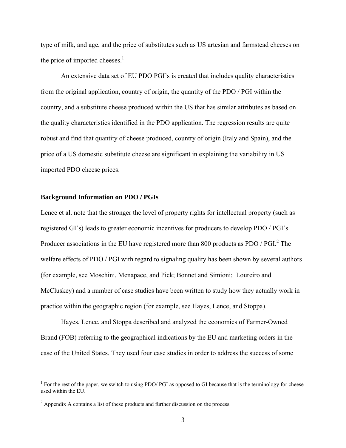type of milk, and age, and the price of substitutes such as US artesian and farmstead cheeses on the price of imported cheeses. $<sup>1</sup>$ </sup>

An extensive data set of EU PDO PGI's is created that includes quality characteristics from the original application, country of origin, the quantity of the PDO / PGI within the country, and a substitute cheese produced within the US that has similar attributes as based on the quality characteristics identified in the PDO application. The regression results are quite robust and find that quantity of cheese produced, country of origin (Italy and Spain), and the price of a US domestic substitute cheese are significant in explaining the variability in US imported PDO cheese prices.

#### **Background Information on PDO / PGIs**

1

Lence et al. note that the stronger the level of property rights for intellectual property (such as registered GI's) leads to greater economic incentives for producers to develop PDO / PGI's. Producer associations in the EU have registered more than 800 products as PDO / PGI. $^{2}$  The welfare effects of PDO / PGI with regard to signaling quality has been shown by several authors (for example, see Moschini, Menapace, and Pick; Bonnet and Simioni; Loureiro and McCluskey) and a number of case studies have been written to study how they actually work in practice within the geographic region (for example, see Hayes, Lence, and Stoppa).

Hayes, Lence, and Stoppa described and analyzed the economics of Farmer-Owned Brand (FOB) referring to the geographical indications by the EU and marketing orders in the case of the United States. They used four case studies in order to address the success of some

<sup>&</sup>lt;sup>1</sup> For the rest of the paper, we switch to using PDO/ PGI as opposed to GI because that is the terminology for cheese used within the EU.

 $2^2$  Appendix A contains a list of these products and further discussion on the process.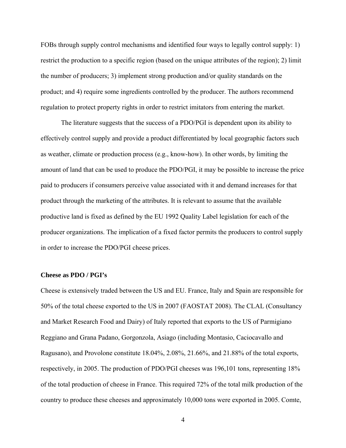FOBs through supply control mechanisms and identified four ways to legally control supply: 1) restrict the production to a specific region (based on the unique attributes of the region); 2) limit the number of producers; 3) implement strong production and/or quality standards on the product; and 4) require some ingredients controlled by the producer. The authors recommend regulation to protect property rights in order to restrict imitators from entering the market.

The literature suggests that the success of a PDO/PGI is dependent upon its ability to effectively control supply and provide a product differentiated by local geographic factors such as weather, climate or production process (e.g., know-how). In other words, by limiting the amount of land that can be used to produce the PDO/PGI, it may be possible to increase the price paid to producers if consumers perceive value associated with it and demand increases for that product through the marketing of the attributes. It is relevant to assume that the available productive land is fixed as defined by the EU 1992 Quality Label legislation for each of the producer organizations. The implication of a fixed factor permits the producers to control supply in order to increase the PDO/PGI cheese prices.

# **Cheese as PDO / PGI's**

Cheese is extensively traded between the US and EU. France, Italy and Spain are responsible for 50% of the total cheese exported to the US in 2007 (FAOSTAT 2008). The CLAL (Consultancy and Market Research Food and Dairy) of Italy reported that exports to the US of Parmigiano Reggiano and Grana Padano, Gorgonzola, Asiago (including Montasio, Caciocavallo and Ragusano), and Provolone constitute 18.04%, 2.08%, 21.66%, and 21.88% of the total exports, respectively, in 2005. The production of PDO/PGI cheeses was 196,101 tons, representing 18% of the total production of cheese in France. This required 72% of the total milk production of the country to produce these cheeses and approximately 10,000 tons were exported in 2005. Comte,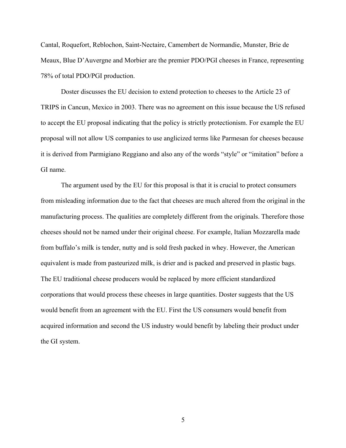Cantal, Roquefort, Reblochon, Saint-Nectaire, Camembert de Normandie, Munster, Brie de Meaux, Blue D'Auvergne and Morbier are the premier PDO/PGI cheeses in France, representing 78% of total PDO/PGI production.

Doster discusses the EU decision to extend protection to cheeses to the Article 23 of TRIPS in Cancun, Mexico in 2003. There was no agreement on this issue because the US refused to accept the EU proposal indicating that the policy is strictly protectionism. For example the EU proposal will not allow US companies to use anglicized terms like Parmesan for cheeses because it is derived from Parmigiano Reggiano and also any of the words "style" or "imitation" before a GI name.

The argument used by the EU for this proposal is that it is crucial to protect consumers from misleading information due to the fact that cheeses are much altered from the original in the manufacturing process. The qualities are completely different from the originals. Therefore those cheeses should not be named under their original cheese. For example, Italian Mozzarella made from buffalo's milk is tender, nutty and is sold fresh packed in whey. However, the American equivalent is made from pasteurized milk, is drier and is packed and preserved in plastic bags. The EU traditional cheese producers would be replaced by more efficient standardized corporations that would process these cheeses in large quantities. Doster suggests that the US would benefit from an agreement with the EU. First the US consumers would benefit from acquired information and second the US industry would benefit by labeling their product under the GI system.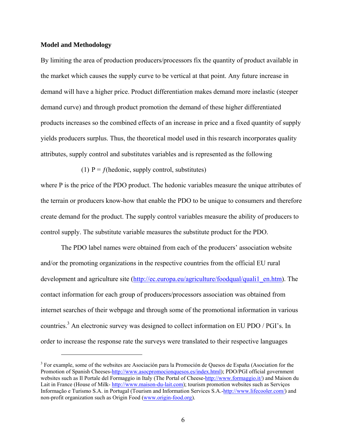# **Model and Methodology**

1

By limiting the area of production producers/processors fix the quantity of product available in the market which causes the supply curve to be vertical at that point. Any future increase in demand will have a higher price. Product differentiation makes demand more inelastic (steeper demand curve) and through product promotion the demand of these higher differentiated products increases so the combined effects of an increase in price and a fixed quantity of supply yields producers surplus. Thus, the theoretical model used in this research incorporates quality attributes, supply control and substitutes variables and is represented as the following

(1)  $P = f$ (hedonic, supply control, substitutes)

where P is the price of the PDO product. The hedonic variables measure the unique attributes of the terrain or producers know-how that enable the PDO to be unique to consumers and therefore create demand for the product. The supply control variables measure the ability of producers to control supply. The substitute variable measures the substitute product for the PDO.

The PDO label names were obtained from each of the producers' association website and/or the promoting organizations in the respective countries from the official EU rural development and agriculture site (http://ec.europa.eu/agriculture/foodqual/quali1\_en.htm). The contact information for each group of producers/processors association was obtained from internet searches of their webpage and through some of the promotional information in various countries.<sup>3</sup> An electronic survey was designed to collect information on EU PDO / PGI's. In order to increase the response rate the surveys were translated to their respective languages

<sup>&</sup>lt;sup>3</sup> For example, some of the websites are Asociación para la Promoción de Quesos de España (Asociation for the Promotion of Spanish Cheeses-http://www.asocpromocionquesos.es/index.html); PDO/PGI official government websites such as Il Portale del Formaggio in Italy (The Portal of Cheese-http://www.formaggio.it/) and Maison du Lait in France (House of Milk- http://www.maison-du-lait.com); tourism promotion websites such as Serviços Informação e Turismo S.A. in Portugal (Tourism and Information Services S.A.-http://www.lifecooler.com/) and non-profit organization such as Origin Food (www.origin-food.org).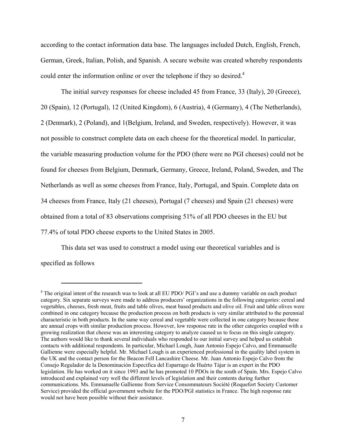according to the contact information data base. The languages included Dutch, English, French, German, Greek, Italian, Polish, and Spanish. A secure website was created whereby respondents could enter the information online or over the telephone if they so desired.<sup>4</sup>

The initial survey responses for cheese included 45 from France, 33 (Italy), 20 (Greece), 20 (Spain), 12 (Portugal), 12 (United Kingdom), 6 (Austria), 4 (Germany), 4 (The Netherlands), 2 (Denmark), 2 (Poland), and 1(Belgium, Ireland, and Sweden, respectively). However, it was not possible to construct complete data on each cheese for the theoretical model. In particular, the variable measuring production volume for the PDO (there were no PGI cheeses) could not be found for cheeses from Belgium, Denmark, Germany, Greece, Ireland, Poland, Sweden, and The Netherlands as well as some cheeses from France, Italy, Portugal, and Spain. Complete data on 34 cheeses from France, Italy (21 cheeses), Portugal (7 cheeses) and Spain (21 cheeses) were obtained from a total of 83 observations comprising 51% of all PDO cheeses in the EU but 77.4% of total PDO cheese exports to the United States in 2005.

This data set was used to construct a model using our theoretical variables and is specified as follows

 $\overline{a}$ 

<sup>&</sup>lt;sup>4</sup> The original intent of the research was to look at all EU PDO/ PGI's and use a dummy variable on each product category. Six separate surveys were made to address producers' organizations in the following categories: cereal and vegetables, cheeses, fresh meat, fruits and table olives, meat based products and olive oil. Fruit and table olives were combined in one category because the production process on both products is very similar attributed to the perennial characteristic in both products. In the same way cereal and vegetable were collected in one category because these are annual crops with similar production process. However, low response rate in the other categories coupled with a growing realization that cheese was an interesting category to analyze caused us to focus on this single category. The authors would like to thank several individuals who responded to our initial survey and helped us establish contacts with additional respondents. In particular, Michael Lough, Juan Antonio Espejo Calvo, and Emmanuelle Gallienne were especially helpful. Mr. Michael Lough is an experienced professional in the quality label system in the UK and the contact person for the Beacon Fell Lancashire Cheese. Mr. Juan Antonio Espejo Calvo from the Consejo Regulador de la Denominación Especifica del Esparrago de Huérto Tájar is an expert in the PDO legislation. He has worked on it since 1993 and he has promoted 10 PDOs in the south of Spain. Mrs. Espejo Calvo introduced and explained very well the different levels of legislation and their contents during further communications. Ms. Emmanuelle Gallienne from Service Consommateurs Société (Roquefort Society Customer Service) provided the official government website for the PDO/PGI statistics in France. The high response rate would not have been possible without their assistance.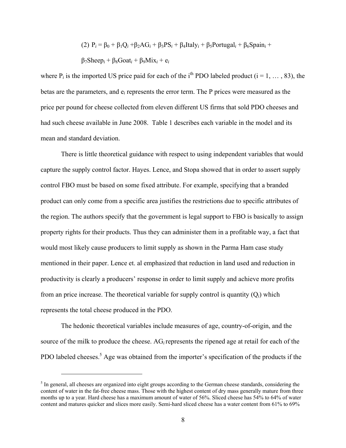(2) 
$$
P_i = \beta_0 + \beta_1 Q_i + \beta_2 AG_i + \beta_3 PS_i + \beta_4 Italy_i + \beta_5 Portugal_i + \beta_6 Spain_i + \beta_7 Sheep_i + \beta_8Goal_i + \beta_9 Mix_i + e_i
$$

where  $P_i$  is the imported US price paid for each of the i<sup>th</sup> PDO labeled product ( $i = 1, \ldots, 83$ ), the betas are the parameters, and e*i* represents the error term. The P prices were measured as the price per pound for cheese collected from eleven different US firms that sold PDO cheeses and had such cheese available in June 2008. Table 1 describes each variable in the model and its mean and standard deviation.

There is little theoretical guidance with respect to using independent variables that would capture the supply control factor. Hayes. Lence, and Stopa showed that in order to assert supply control FBO must be based on some fixed attribute. For example, specifying that a branded product can only come from a specific area justifies the restrictions due to specific attributes of the region. The authors specify that the government is legal support to FBO is basically to assign property rights for their products. Thus they can administer them in a profitable way, a fact that would most likely cause producers to limit supply as shown in the Parma Ham case study mentioned in their paper. Lence et. al emphasized that reduction in land used and reduction in productivity is clearly a producers' response in order to limit supply and achieve more profits from an price increase. The theoretical variable for supply control is quantity (Q*i*) which represents the total cheese produced in the PDO.

The hedonic theoretical variables include measures of age, country-of-origin, and the source of the milk to produce the cheese. AG*i* represents the ripened age at retail for each of the PDO labeled cheeses.<sup>5</sup> Age was obtained from the importer's specification of the products if the

 $<sup>5</sup>$  In general, all cheeses are organized into eight groups according to the German cheese standards, considering the</sup> content of water in the fat-free cheese mass. Those with the highest content of dry mass generally mature from three months up to a year. Hard cheese has a maximum amount of water of 56%. Sliced cheese has 54% to 64% of water content and matures quicker and slices more easily. Semi-hard sliced cheese has a water content from 61% to 69%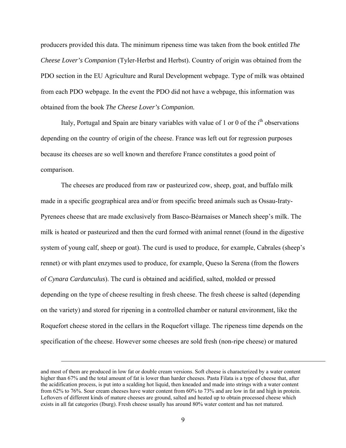producers provided this data. The minimum ripeness time was taken from the book entitled *The Cheese Lover's Companion* (Tyler-Herbst and Herbst). Country of origin was obtained from the PDO section in the EU Agriculture and Rural Development webpage. Type of milk was obtained from each PDO webpage. In the event the PDO did not have a webpage, this information was obtained from the book *The Cheese Lover's Companion.*

Italy, Portugal and Spain are binary variables with value of 1 or 0 of the  $i<sup>th</sup>$  observations depending on the country of origin of the cheese. France was left out for regression purposes because its cheeses are so well known and therefore France constitutes a good point of comparison.

The cheeses are produced from raw or pasteurized cow, sheep, goat, and buffalo milk made in a specific geographical area and/or from specific breed animals such as Ossau-Iraty-Pyrenees cheese that are made exclusively from Basco-Béarnaises or Manech sheep's milk. The milk is heated or pasteurized and then the curd formed with animal rennet (found in the digestive system of young calf, sheep or goat). The curd is used to produce, for example, Cabrales (sheep's rennet) or with plant enzymes used to produce, for example, Queso la Serena (from the flowers of *Cynara Cardunculus*). The curd is obtained and acidified, salted, molded or pressed depending on the type of cheese resulting in fresh cheese. The fresh cheese is salted (depending on the variety) and stored for ripening in a controlled chamber or natural environment, like the Roquefort cheese stored in the cellars in the Roquefort village. The ripeness time depends on the specification of the cheese. However some cheeses are sold fresh (non-ripe cheese) or matured

and most of them are produced in low fat or double cream versions. Soft cheese is characterized by a water content higher than 67% and the total amount of fat is lower than harder cheeses. Pasta Filata is a type of cheese that, after the acidification process, is put into a scalding hot liquid, then kneaded and made into strings with a water content from 62% to 76%. Sour cream cheeses have water content from 60% to 73% and are low in fat and high in protein. Leftovers of different kinds of mature cheeses are ground, salted and heated up to obtain processed cheese which exists in all fat categories (Iburg). Fresh cheese usually has around 80% water content and has not matured.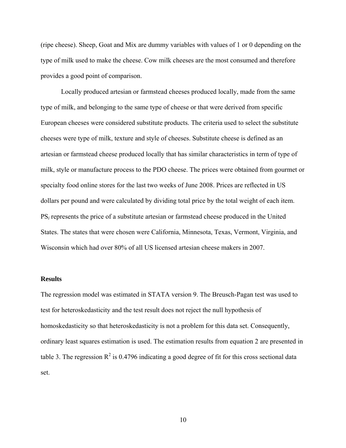(ripe cheese). Sheep, Goat and Mix are dummy variables with values of 1 or 0 depending on the type of milk used to make the cheese. Cow milk cheeses are the most consumed and therefore provides a good point of comparison.

Locally produced artesian or farmstead cheeses produced locally, made from the same type of milk, and belonging to the same type of cheese or that were derived from specific European cheeses were considered substitute products. The criteria used to select the substitute cheeses were type of milk, texture and style of cheeses. Substitute cheese is defined as an artesian or farmstead cheese produced locally that has similar characteristics in term of type of milk, style or manufacture process to the PDO cheese. The prices were obtained from gourmet or specialty food online stores for the last two weeks of June 2008. Prices are reflected in US dollars per pound and were calculated by dividing total price by the total weight of each item. PS*i* represents the price of a substitute artesian or farmstead cheese produced in the United States. The states that were chosen were California, Minnesota, Texas, Vermont, Virginia, and Wisconsin which had over 80% of all US licensed artesian cheese makers in 2007.

#### **Results**

The regression model was estimated in STATA version 9. The Breusch-Pagan test was used to test for heteroskedasticity and the test result does not reject the null hypothesis of homoskedasticity so that heteroskedasticity is not a problem for this data set. Consequently, ordinary least squares estimation is used. The estimation results from equation 2 are presented in table 3. The regression  $\mathbb{R}^2$  is 0.4796 indicating a good degree of fit for this cross sectional data set.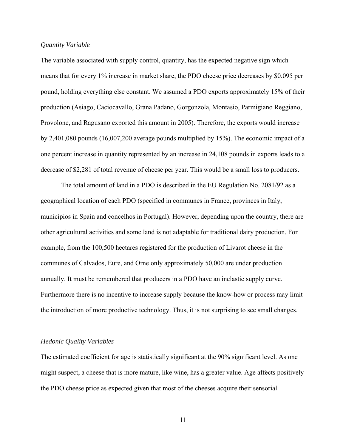#### *Quantity Variable*

The variable associated with supply control, quantity, has the expected negative sign which means that for every 1% increase in market share, the PDO cheese price decreases by \$0.095 per pound, holding everything else constant. We assumed a PDO exports approximately 15% of their production (Asiago, Caciocavallo, Grana Padano, Gorgonzola, Montasio, Parmigiano Reggiano, Provolone, and Ragusano exported this amount in 2005). Therefore, the exports would increase by 2,401,080 pounds (16,007,200 average pounds multiplied by 15%). The economic impact of a one percent increase in quantity represented by an increase in 24,108 pounds in exports leads to a decrease of \$2,281 of total revenue of cheese per year. This would be a small loss to producers.

The total amount of land in a PDO is described in the EU Regulation No. 2081/92 as a geographical location of each PDO (specified in communes in France, provinces in Italy, municipios in Spain and concelhos in Portugal). However, depending upon the country, there are other agricultural activities and some land is not adaptable for traditional dairy production. For example, from the 100,500 hectares registered for the production of Livarot cheese in the communes of Calvados, Eure, and Orne only approximately 50,000 are under production annually. It must be remembered that producers in a PDO have an inelastic supply curve. Furthermore there is no incentive to increase supply because the know-how or process may limit the introduction of more productive technology. Thus, it is not surprising to see small changes.

#### *Hedonic Quality Variables*

The estimated coefficient for age is statistically significant at the 90% significant level. As one might suspect, a cheese that is more mature, like wine, has a greater value. Age affects positively the PDO cheese price as expected given that most of the cheeses acquire their sensorial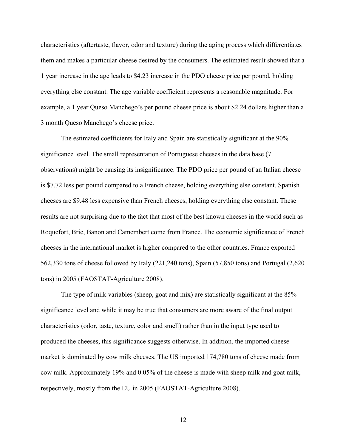characteristics (aftertaste, flavor, odor and texture) during the aging process which differentiates them and makes a particular cheese desired by the consumers. The estimated result showed that a 1 year increase in the age leads to \$4.23 increase in the PDO cheese price per pound, holding everything else constant. The age variable coefficient represents a reasonable magnitude. For example, a 1 year Queso Manchego's per pound cheese price is about \$2.24 dollars higher than a 3 month Queso Manchego's cheese price.

The estimated coefficients for Italy and Spain are statistically significant at the 90% significance level. The small representation of Portuguese cheeses in the data base (7 observations) might be causing its insignificance. The PDO price per pound of an Italian cheese is \$7.72 less per pound compared to a French cheese, holding everything else constant. Spanish cheeses are \$9.48 less expensive than French cheeses, holding everything else constant. These results are not surprising due to the fact that most of the best known cheeses in the world such as Roquefort, Brie, Banon and Camembert come from France. The economic significance of French cheeses in the international market is higher compared to the other countries. France exported 562,330 tons of cheese followed by Italy (221,240 tons), Spain (57,850 tons) and Portugal (2,620 tons) in 2005 (FAOSTAT-Agriculture 2008).

The type of milk variables (sheep, goat and mix) are statistically significant at the 85% significance level and while it may be true that consumers are more aware of the final output characteristics (odor, taste, texture, color and smell) rather than in the input type used to produced the cheeses, this significance suggests otherwise. In addition, the imported cheese market is dominated by cow milk cheeses. The US imported 174,780 tons of cheese made from cow milk. Approximately 19% and 0.05% of the cheese is made with sheep milk and goat milk, respectively, mostly from the EU in 2005 (FAOSTAT-Agriculture 2008).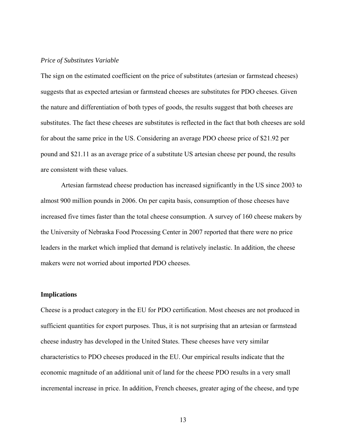# *Price of Substitutes Variable*

The sign on the estimated coefficient on the price of substitutes (artesian or farmstead cheeses) suggests that as expected artesian or farmstead cheeses are substitutes for PDO cheeses. Given the nature and differentiation of both types of goods, the results suggest that both cheeses are substitutes. The fact these cheeses are substitutes is reflected in the fact that both cheeses are sold for about the same price in the US. Considering an average PDO cheese price of \$21.92 per pound and \$21.11 as an average price of a substitute US artesian cheese per pound, the results are consistent with these values.

Artesian farmstead cheese production has increased significantly in the US since 2003 to almost 900 million pounds in 2006. On per capita basis, consumption of those cheeses have increased five times faster than the total cheese consumption. A survey of 160 cheese makers by the University of Nebraska Food Processing Center in 2007 reported that there were no price leaders in the market which implied that demand is relatively inelastic. In addition, the cheese makers were not worried about imported PDO cheeses.

#### **Implications**

Cheese is a product category in the EU for PDO certification. Most cheeses are not produced in sufficient quantities for export purposes. Thus, it is not surprising that an artesian or farmstead cheese industry has developed in the United States. These cheeses have very similar characteristics to PDO cheeses produced in the EU. Our empirical results indicate that the economic magnitude of an additional unit of land for the cheese PDO results in a very small incremental increase in price. In addition, French cheeses, greater aging of the cheese, and type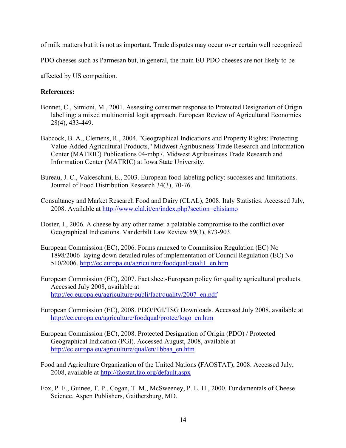of milk matters but it is not as important. Trade disputes may occur over certain well recognized

PDO cheeses such as Parmesan but, in general, the main EU PDO cheeses are not likely to be

affected by US competition.

# **References:**

- Bonnet, C., Simioni, M., 2001. Assessing consumer response to Protected Designation of Origin labelling: a mixed multinomial logit approach. European Review of Agricultural Economics 28(4), 433-449.
- Babcock, B. A., Clemens, R., 2004. "Geographical Indications and Property Rights: Protecting Value-Added Agricultural Products," Midwest Agribusiness Trade Research and Information Center (MATRIC) Publications 04-mbp7, Midwest Agribusiness Trade Research and Information Center (MATRIC) at Iowa State University.
- Bureau, J. C., Valceschini, E., 2003. European food-labeling policy: successes and limitations. Journal of Food Distribution Research 34(3), 70-76.
- Consultancy and Market Research Food and Dairy (CLAL), 2008. Italy Statistics. Accessed July, 2008. Available at http://www.clal.it/en/index.php?section=chisiamo
- Doster, I., 2006. A cheese by any other name: a palatable compromise to the conflict over Geographical Indications. Vanderbilt Law Review 59(3), 873-903.
- European Commission (EC), 2006. Forms annexed to Commission Regulation (EC) No 1898/2006 laying down detailed rules of implementation of Council Regulation (EC) No 510/2006. http://ec.europa.eu/agriculture/foodqual/quali1\_en.htm
- European Commission (EC), 2007. Fact sheet-European policy for quality agricultural products. Accessed July 2008, available at http://ec.europa.eu/agriculture/publi/fact/quality/2007\_en.pdf
- European Commission (EC), 2008. PDO/PGI/TSG Downloads. Accessed July 2008, available at http://ec.europa.eu/agriculture/foodqual/protec/logo\_en.htm
- European Commission (EC), 2008. Protected Designation of Origin (PDO) / Protected Geographical Indication (PGI). Accessed August, 2008, available at http://ec.europa.eu/agriculture/qual/en/1bbaa\_en.htm
- Food and Agriculture Organization of the United Nations **(**FAOSTAT), 2008. Accessed July, 2008, available at http://faostat.fao.org/default.aspx
- Fox, P. F., Guinee, T. P., Cogan, T. M., McSweeney, P. L. H., 2000. Fundamentals of Cheese Science. Aspen Publishers, Gaithersburg, MD.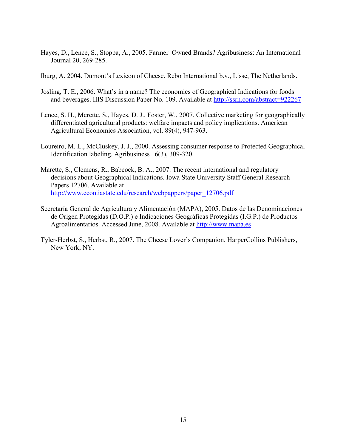- Hayes, D., Lence, S., Stoppa, A., 2005. Farmer\_Owned Brands? Agribusiness: An International Journal 20, 269-285.
- Iburg, A. 2004. Dumont's Lexicon of Cheese. Rebo International b.v., Lisse, The Netherlands.
- Josling, T. E., 2006. What's in a name? The economics of Geographical Indications for foods and beverages. IIIS Discussion Paper No. 109. Available at http://ssrn.com/abstract=922267
- Lence, S. H., Merette, S., Hayes, D. J., Foster, W., 2007. Collective marketing for geographically differentiated agricultural products: welfare impacts and policy implications. American Agricultural Economics Association, vol. 89(4), 947-963.
- Loureiro, M. L., McCluskey, J. J., 2000. Assessing consumer response to Protected Geographical Identification labeling. Agribusiness 16(3), 309-320.
- Marette, S., Clemens, R., Babcock, B. A., 2007. The recent international and regulatory decisions about Geographical Indications. Iowa State University Staff General Research Papers 12706. Available at http://www.econ.iastate.edu/research/webpappers/paper\_12706.pdf
- Secretaría General de Agricultura y Alimentación (MAPA), 2005. Datos de las Denominaciones de Origen Protegidas (D.O.P.) e Indicaciones Geográficas Protegidas (I.G.P.) de Productos Agroalimentarios. Accessed June, 2008. Available at http://www.mapa.es
- Tyler-Herbst, S., Herbst, R., 2007. The Cheese Lover's Companion. HarperCollins Publishers, New York, NY.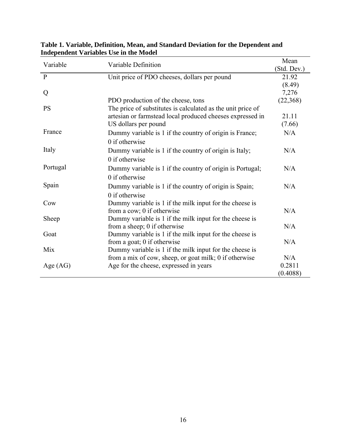| Variable     | Variable Definition                                         | Mean        |  |
|--------------|-------------------------------------------------------------|-------------|--|
|              |                                                             | (Std. Dev.) |  |
| $\mathbf{P}$ | Unit price of PDO cheeses, dollars per pound                | 21.92       |  |
|              |                                                             | (8.49)      |  |
| Q            |                                                             | 7,276       |  |
|              | PDO production of the cheese, tons                          | (22, 368)   |  |
| <b>PS</b>    | The price of substitutes is calculated as the unit price of |             |  |
|              | artesian or farmstead local produced cheeses expressed in   | 21.11       |  |
|              | US dollars per pound                                        | (7.66)      |  |
| France       | Dummy variable is 1 if the country of origin is France;     | N/A         |  |
|              | 0 if otherwise                                              |             |  |
| Italy        | Dummy variable is 1 if the country of origin is Italy;      | N/A         |  |
|              | $0$ if otherwise                                            |             |  |
| Portugal     | Dummy variable is 1 if the country of origin is Portugal;   | N/A         |  |
|              | 0 if otherwise                                              |             |  |
| Spain        | Dummy variable is 1 if the country of origin is Spain;      | N/A         |  |
|              | 0 if otherwise                                              |             |  |
| Cow          | Dummy variable is 1 if the milk input for the cheese is     |             |  |
|              | from a cow; 0 if otherwise                                  | N/A         |  |
| Sheep        | Dummy variable is 1 if the milk input for the cheese is     |             |  |
|              | from a sheep; 0 if otherwise                                | N/A         |  |
| Goat         | Dummy variable is 1 if the milk input for the cheese is     |             |  |
|              | from a goat; 0 if otherwise                                 | N/A         |  |
| Mix          | Dummy variable is 1 if the milk input for the cheese is     |             |  |
|              | from a mix of cow, sheep, or goat milk; 0 if otherwise      | N/A         |  |
| Age $(AG)$   | Age for the cheese, expressed in years                      | 0.2811      |  |
|              |                                                             | (0.4088)    |  |

**Table 1. Variable, Definition, Mean, and Standard Deviation for the Dependent and Independent Variables Use in the Model**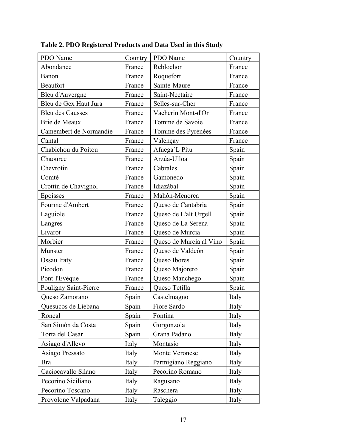| PDO Name                | Country | PDO Name                | Country |
|-------------------------|---------|-------------------------|---------|
| Abondance               | France  | Reblochon               | France  |
| Banon                   | France  | Roquefort               | France  |
| <b>Beaufort</b>         | France  | Sainte-Maure            | France  |
| Bleu d'Auvergne         | France  | Saint-Nectaire          | France  |
| Bleu de Gex Haut Jura   | France  | Selles-sur-Cher         | France  |
| <b>Bleu des Causses</b> | France  | Vacherin Mont-d'Or      | France  |
| Brie de Meaux           | France  | Tomme de Savoie         | France  |
| Camembert de Normandie  | France  | Tomme des Pyrénées      | France  |
| Cantal                  | France  | Valençay                | France  |
| Chabichou du Poitou     | France  | Afuega'L Pitu           | Spain   |
| Chaource                | France  | Arzúa-Ulloa             | Spain   |
| Chevrotin               | France  | Cabrales                | Spain   |
| Comté                   | France  | Gamonedo                | Spain   |
| Crottin de Chavignol    | France  | Idiazábal               | Spain   |
| Epoisses                | France  | Mahón-Menorca           | Spain   |
| Fourme d'Ambert         | France  | Queso de Cantabria      | Spain   |
| Laguiole                | France  | Queso de L'alt Urgell   | Spain   |
| Langres                 | France  | Queso de La Serena      | Spain   |
| Livarot                 | France  | Queso de Murcia         | Spain   |
| Morbier                 | France  | Queso de Murcia al Vino | Spain   |
| Munster                 | France  | Queso de Valdeón        | Spain   |
| Ossau Iraty             | France  | Queso Ibores            | Spain   |
| Picodon                 | France  | Queso Majorero          | Spain   |
| Pont-l'Evêque           | France  | Queso Manchego          | Spain   |
| Pouligny Saint-Pierre   | France  | Queso Tetilla           | Spain   |
| Queso Zamorano          | Spain   | Castelmagno             | Italy   |
| Quesucos de Liébana     | Spain   | Fiore Sardo             | Italy   |
| Roncal                  | Spain   | Fontina                 | Italy   |
| San Simón da Costa      | Spain   | Gorgonzola              | Italy   |
| Torta del Casar         | Spain   | Grana Padano            | Italy   |
| Asiago d'Allevo         | Italy   | Montasio                | Italy   |
| Asiago Pressato         | Italy   | Monte Veronese          | Italy   |
| <b>Bra</b>              | Italy   | Parmigiano Reggiano     | Italy   |
| Caciocavallo Silano     | Italy   | Pecorino Romano         | Italy   |
| Pecorino Siciliano      | Italy   | Ragusano                | Italy   |
| Pecorino Toscano        | Italy   | Raschera                | Italy   |
| Provolone Valpadana     | Italy   | Taleggio                | Italy   |

**Table 2. PDO Registered Products and Data Used in this Study**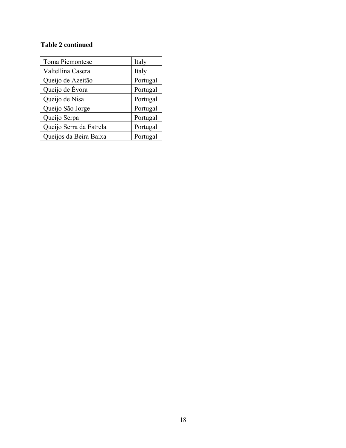# **Table 2 continued**

| Toma Piemontese         | Italy    |
|-------------------------|----------|
| Valtellina Casera       | Italy    |
| Queijo de Azeitão       | Portugal |
| Queijo de Évora         | Portugal |
| Queijo de Nisa          | Portugal |
| Queijo São Jorge        | Portugal |
| Queijo Serpa            | Portugal |
| Queijo Serra da Estrela | Portugal |
| Queijos da Beira Baixa  | Portugal |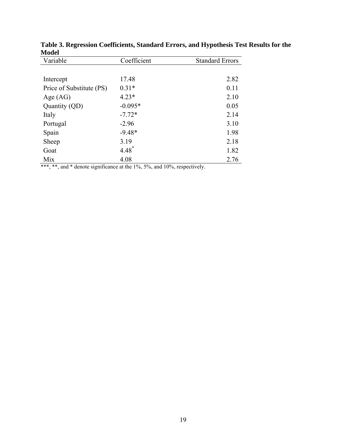| Variable                 | Coefficient | <b>Standard Errors</b> |
|--------------------------|-------------|------------------------|
|                          |             |                        |
| Intercept                | 17.48       | 2.82                   |
| Price of Substitute (PS) | $0.31*$     | 0.11                   |
| Age $(AG)$               | $4.23*$     | 2.10                   |
| Quantity (QD)            | $-0.095*$   | 0.05                   |
| Italy                    | $-7.72*$    | 2.14                   |
| Portugal                 | $-2.96$     | 3.10                   |
| Spain                    | $-9.48*$    | 1.98                   |
| Sheep                    | 3.19        | 2.18                   |
| Goat                     | $4.48^*$    | 1.82                   |
| Mix                      | 4.08        | 2.76                   |

**Table 3. Regression Coefficients, Standard Errors, and Hypothesis Test Results for the Model** 

\*\*\*, \*\*, and \* denote significance at the 1%, 5%, and 10%, respectively.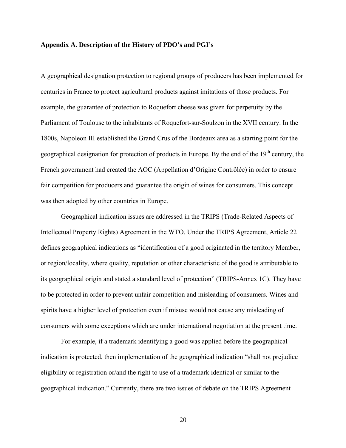#### **Appendix A. Description of the History of PDO's and PGI's**

A geographical designation protection to regional groups of producers has been implemented for centuries in France to protect agricultural products against imitations of those products. For example, the guarantee of protection to Roquefort cheese was given for perpetuity by the Parliament of Toulouse to the inhabitants of Roquefort-sur-Soulzon in the XVII century. In the 1800s, Napoleon III established the Grand Crus of the Bordeaux area as a starting point for the geographical designation for protection of products in Europe. By the end of the  $19<sup>th</sup>$  century, the French government had created the AOC (Appellation d'Origine Contrôlée) in order to ensure fair competition for producers and guarantee the origin of wines for consumers. This concept was then adopted by other countries in Europe.

Geographical indication issues are addressed in the TRIPS (Trade-Related Aspects of Intellectual Property Rights) Agreement in the WTO. Under the TRIPS Agreement, Article 22 defines geographical indications as "identification of a good originated in the territory Member, or region/locality, where quality, reputation or other characteristic of the good is attributable to its geographical origin and stated a standard level of protection" (TRIPS-Annex 1C). They have to be protected in order to prevent unfair competition and misleading of consumers. Wines and spirits have a higher level of protection even if misuse would not cause any misleading of consumers with some exceptions which are under international negotiation at the present time.

For example, if a trademark identifying a good was applied before the geographical indication is protected, then implementation of the geographical indication "shall not prejudice eligibility or registration or/and the right to use of a trademark identical or similar to the geographical indication." Currently, there are two issues of debate on the TRIPS Agreement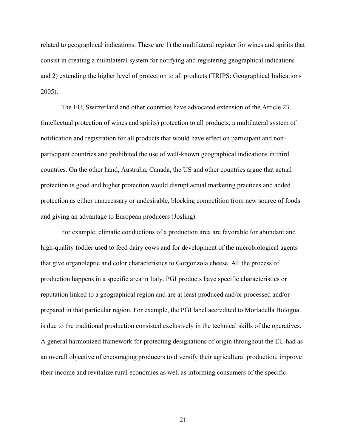related to geographical indications. These are 1) the multilateral register for wines and spirits that consist in creating a multilateral system for notifying and registering geographical indications and 2) extending the higher level of protection to all products (TRIPS: Geographical Indications 2005).

The EU, Switzerland and other countries have advocated extension of the Article 23 (intellectual protection of wines and spirits) protection to all products, a multilateral system of notification and registration for all products that would have effect on participant and nonparticipant countries and prohibited the use of well-known geographical indications in third countries. On the other hand, Australia, Canada, the US and other countries argue that actual protection is good and higher protection would disrupt actual marketing practices and added protection as either unnecessary or undesirable, blocking competition from new source of foods and giving an advantage to European producers (Josling).

For example, climatic conductions of a production area are favorable for abundant and high-quality fodder used to feed dairy cows and for development of the microbiological agents that give organoleptic and color characteristics to Gorgonzola cheese. All the process of production happens in a specific area in Italy. PGI products have specific characteristics or reputation linked to a geographical region and are at least produced and/or processed and/or prepared in that particular region. For example, the PGI label accredited to Mortadella Bologna is due to the traditional production consisted exclusively in the technical skills of the operatives. A general harmonized framework for protecting designations of origin throughout the EU had as an overall objective of encouraging producers to diversify their agricultural production, improve their income and revitalize rural economies as well as informing consumers of the specific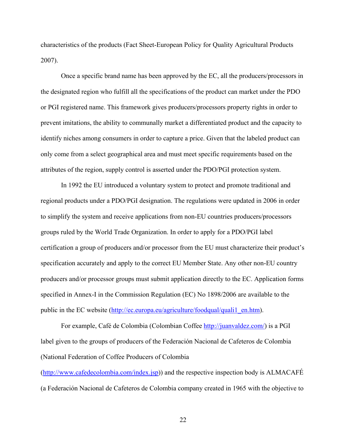characteristics of the products (Fact Sheet-European Policy for Quality Agricultural Products 2007).

Once a specific brand name has been approved by the EC, all the producers/processors in the designated region who fulfill all the specifications of the product can market under the PDO or PGI registered name. This framework gives producers/processors property rights in order to prevent imitations, the ability to communally market a differentiated product and the capacity to identify niches among consumers in order to capture a price. Given that the labeled product can only come from a select geographical area and must meet specific requirements based on the attributes of the region, supply control is asserted under the PDO/PGI protection system.

In 1992 the EU introduced a voluntary system to protect and promote traditional and regional products under a PDO/PGI designation. The regulations were updated in 2006 in order to simplify the system and receive applications from non-EU countries producers/processors groups ruled by the World Trade Organization. In order to apply for a PDO/PGI label certification a group of producers and/or processor from the EU must characterize their product's specification accurately and apply to the correct EU Member State. Any other non-EU country producers and/or processor groups must submit application directly to the EC. Application forms specified in Annex-I in the Commission Regulation (EC) No 1898/2006 are available to the public in the EC website (http://ec.europa.eu/agriculture/foodqual/quali1\_en.htm).

For example, Café de Colombia (Colombian Coffee http://juanvaldez.com/) is a PGI label given to the groups of producers of the Federación Nacional de Cafeteros de Colombia (National Federation of Coffee Producers of Colombia

(http://www.cafedecolombia.com/index.jsp)) and the respective inspection body is ALMACAFÉ (a Federación Nacional de Cafeteros de Colombia company created in 1965 with the objective to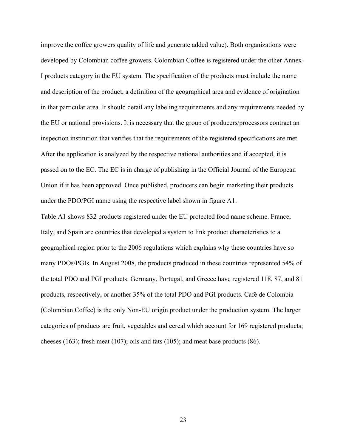improve the coffee growers quality of life and generate added value). Both organizations were developed by Colombian coffee growers. Colombian Coffee is registered under the other Annex-I products category in the EU system. The specification of the products must include the name and description of the product, a definition of the geographical area and evidence of origination in that particular area. It should detail any labeling requirements and any requirements needed by the EU or national provisions. It is necessary that the group of producers/processors contract an inspection institution that verifies that the requirements of the registered specifications are met. After the application is analyzed by the respective national authorities and if accepted, it is passed on to the EC. The EC is in charge of publishing in the Official Journal of the European Union if it has been approved. Once published, producers can begin marketing their products under the PDO/PGI name using the respective label shown in figure A1.

Table A1 shows 832 products registered under the EU protected food name scheme. France, Italy, and Spain are countries that developed a system to link product characteristics to a geographical region prior to the 2006 regulations which explains why these countries have so many PDOs/PGIs. In August 2008, the products produced in these countries represented 54% of the total PDO and PGI products. Germany, Portugal, and Greece have registered 118, 87, and 81 products, respectively, or another 35% of the total PDO and PGI products. Café de Colombia (Colombian Coffee) is the only Non-EU origin product under the production system. The larger categories of products are fruit, vegetables and cereal which account for 169 registered products; cheeses (163); fresh meat (107); oils and fats (105); and meat base products (86).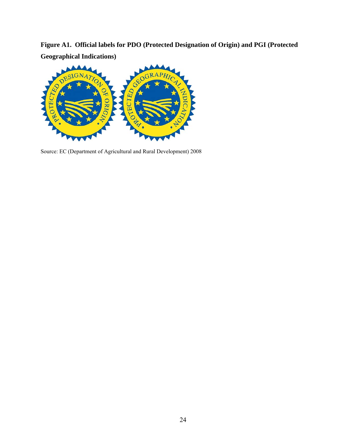**Figure A1. Official labels for PDO (Protected Designation of Origin) and PGI (Protected Geographical Indications)** 



Source: EC (Department of Agricultural and Rural Development) 2008